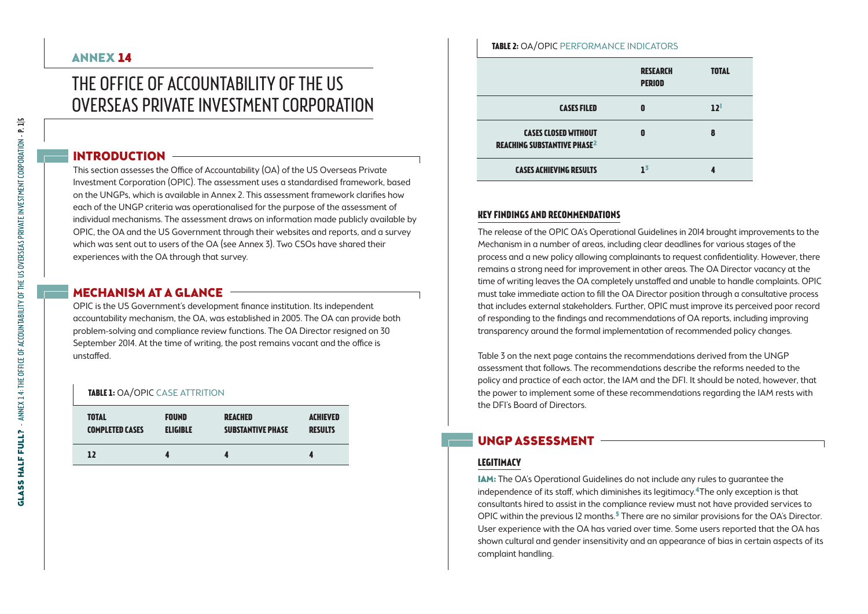# ANNEX 14

# The Office of Accountability of the US OVERSEAS PRIVATE INVESTMENT CORPORATION

# INTRODUCTION

This section assesses the Office of Accountability (OA) of the US Overseas Private Investment Corporation (OPIC). The assessment uses a standardised framework, based on the UNGPs, which is available in Annex 2. This assessment framework clarifies how each of the UNGP criteria was operationalised for the purpose of the assessment of individual mechanisms. The assessment draws on information made publicly available by OPIC, the OA and the US Government through their websites and reports, and a survey which was sent out to users of the OA (see Annex 3). Two CSOs have shared their experiences with the OA through that survey.

# MECHANISM AT A GLANCE -

OPIC is the US Government's development finance institution. Its independent accountability mechanism, the OA, was established in 2005. The OA can provide both problem-solving and compliance review functions. The OA Director resigned on 30 September 2014. At the time of writing, the post remains vacant and the office is unstaffed.

#### **TABLE 1: OA/OPIC CASE ATTRITION**

| <b>TOTAL</b>           | <b>FOUND</b>    | <b>REACHED</b>           | <b>ACHIEVED</b> |
|------------------------|-----------------|--------------------------|-----------------|
| <b>COMPLETED CASES</b> | <b>ELIGIBLE</b> | <b>SUBSTANTIVE PHASE</b> | <b>RESULTS</b>  |
| 12                     |                 |                          |                 |

#### **Table 2:** OA/OPIC Performance indicators

|                                                                              | <b>RESEARCH</b><br><b>PERIOD</b> | <b>TOTAL</b>    |
|------------------------------------------------------------------------------|----------------------------------|-----------------|
| <b>CASES FILED</b>                                                           | Ω                                | 12 <sup>1</sup> |
| <b>CASES CLOSED WITHOUT</b><br><b>REACHING SUBSTANTIVE PHASE<sup>2</sup></b> | Ω                                | 8               |
| <b>CASES ACHIEVING RESULTS</b>                                               | 15                               |                 |

# **Key findings and recommendations**

The release of the OPIC OA's Operational Guidelines in 2014 brought improvements to the Mechanism in a number of areas, including clear deadlines for various stages of the process and a new policy allowing complainants to request confidentiality. However, there remains a strong need for improvement in other areas. The OA Director vacancy at the time of writing leaves the OA completely unstaffed and unable to handle complaints. OPIC must take immediate action to fill the OA Director position through a consultative process that includes external stakeholders. Further, OPIC must improve its perceived poor record of responding to the findings and recommendations of OA reports, including improving transparency around the formal implementation of recommended policy changes.

Table 3 on the next page contains the recommendations derived from the UNGP assessment that follows. The recommendations describe the reforms needed to the policy and practice of each actor, the IAM and the DFI. It should be noted, however, that the power to implement some of these recommendations regarding the IAM rests with the DFI's Board of Directors.

# UNGP Assessment

# **Legitimacy**

IAM: The OA's Operational Guidelines do not include any rules to guarantee the independence of its staff, which diminishes its legitimacy.<sup>4</sup>The only exception is that consultants hired to assist in the compliance review must not have provided services to OPIC within the previous 12 months.<sup>5</sup> There are no similar provisions for the OA's Director. User experience with the OA has varied over time. Some users reported that the OA has shown cultural and gender insensitivity and an appearance of bias in certain aspects of its complaint handling.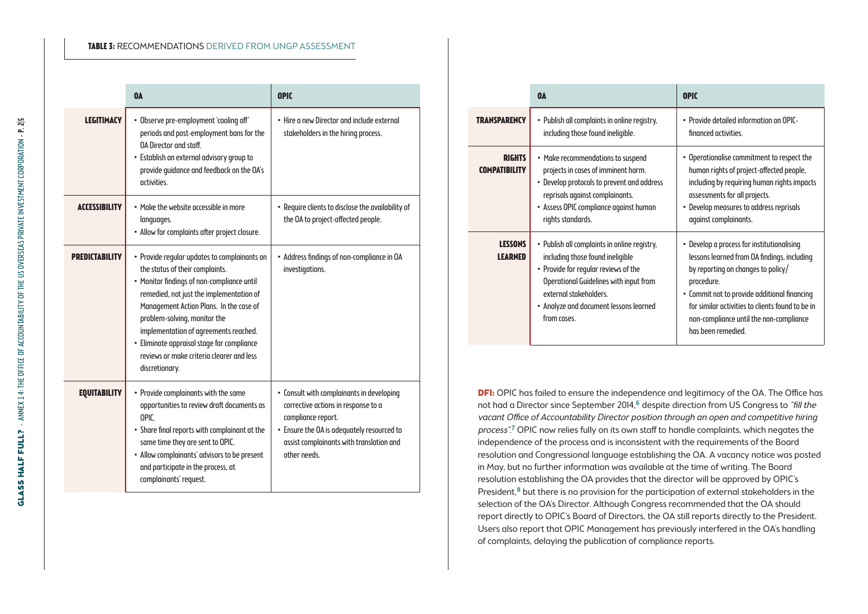#### **Table 3:** Recommendations derived from UNGP assessment

|                      | <b>OA</b>                                                                                                                                                                                                                                                                                                                                                                                                  | <b>OPIC</b>                                                                                                                                                                                                      |
|----------------------|------------------------------------------------------------------------------------------------------------------------------------------------------------------------------------------------------------------------------------------------------------------------------------------------------------------------------------------------------------------------------------------------------------|------------------------------------------------------------------------------------------------------------------------------------------------------------------------------------------------------------------|
| <b>LEGITIMACY</b>    | · Observe pre-employment 'cooling off'<br>periods and post-employment bans for the<br>OA Director and staff.<br>· Establish an external advisory group to<br>provide quidance and feedback on the OA's<br>activities.                                                                                                                                                                                      | . Hire a new Director and include external<br>stakeholders in the hiring process.                                                                                                                                |
| <b>ACCESSIBILITY</b> | • Make the website accessible in more<br>languages.<br>• Allow for complaints after project closure.                                                                                                                                                                                                                                                                                                       | • Require clients to disclose the availability of<br>the OA to project-affected people.                                                                                                                          |
| PREDICTABILITY       | • Provide reqular updates to complainants on<br>the status of their complaints.<br>• Monitor findings of non-compliance until<br>remedied, not just the implementation of<br>Management Action Plans. In the case of<br>problem-solving, monitor the<br>implementation of agreements reached.<br>· Eliminate appraisal stage for compliance<br>reviews or make criteria clearer and less<br>discretionary. | • Address findings of non-compliance in OA<br>investigations.                                                                                                                                                    |
| <b>EQUITABILITY</b>  | • Provide complainants with the same<br>opportunities to review draft documents as<br>OPIC.<br>• Share final reports with complainant at the<br>same time they are sent to OPIC.<br>• Allow complainants' advisors to be present<br>and participate in the process, at<br>complainants' request.                                                                                                           | • Consult with complainants in developing<br>corrective actions in response to a<br>compliance report.<br>• Ensure the OA is adequately resourced to<br>assist complainants with translation and<br>other needs. |

|                                       | <b>OA</b>                                                                                                                                                                                                                                                    | <b>OPIC</b>                                                                                                                                                                                                                                                                                                        |
|---------------------------------------|--------------------------------------------------------------------------------------------------------------------------------------------------------------------------------------------------------------------------------------------------------------|--------------------------------------------------------------------------------------------------------------------------------------------------------------------------------------------------------------------------------------------------------------------------------------------------------------------|
| <b>TRANSPARENCY</b>                   | • Publish all complaints in online registry,<br>including those found ineligible.                                                                                                                                                                            | • Provide detailed information on OPIC-<br>financed activities.                                                                                                                                                                                                                                                    |
| <b>RIGHTS</b><br><b>COMPATIBILITY</b> | • Make recommendations to suspend<br>projects in cases of imminent harm.<br>• Develop protocols to prevent and address<br>reprisals against complainants.<br>• Assess OPIC compliance against human<br>rights standards.                                     | • Operationalise commitment to respect the<br>human rights of project-affected people,<br>including by requiring human rights impacts<br>assessments for all projects.<br>• Develop measures to address reprisals<br>against complainants.                                                                         |
| <b>LESSONS</b><br><b>LEARNED</b>      | • Publish all complaints in online registry,<br>including those found ineligible<br>• Provide for reqular reviews of the<br><b>Operational Guidelines with input from</b><br>external stakeholders.<br>• Analyze and document lessons learned<br>from cases. | • Develop a process for institutionalising<br>lessons learned from OA findings, including<br>by reporting on changes to policy/<br>procedure.<br>• Commit not to provide additional financing<br>for similar activities to clients found to be in<br>non-compliance until the non-compliance<br>has been remedied. |

**DFI:** OPIC has failed to ensure the independence and legitimacy of the OA. The Office has not had a Director since September 2014,<sup>6</sup> despite direction from US Congress to "fill the vacant Office of Accountability Director position through an open and competitive hiring process".<sup>7</sup> OPIC now relies fully on its own staff to handle complaints, which negates the independence of the process and is inconsistent with the requirements of the Board resolution and Congressional language establishing the OA. A vacancy notice was posted in May, but no further information was available at the time of writing. The Board resolution establishing the OA provides that the director will be approved by OPIC's President,<sup>8</sup> but there is no provision for the participation of external stakeholders in the selection of the OA's Director. Although Congress recommended that the OA should report directly to OPIC's Board of Directors, the OA still reports directly to the President. Users also report that OPIC Management has previously interfered in the OA's handling of complaints, delaying the publication of compliance reports.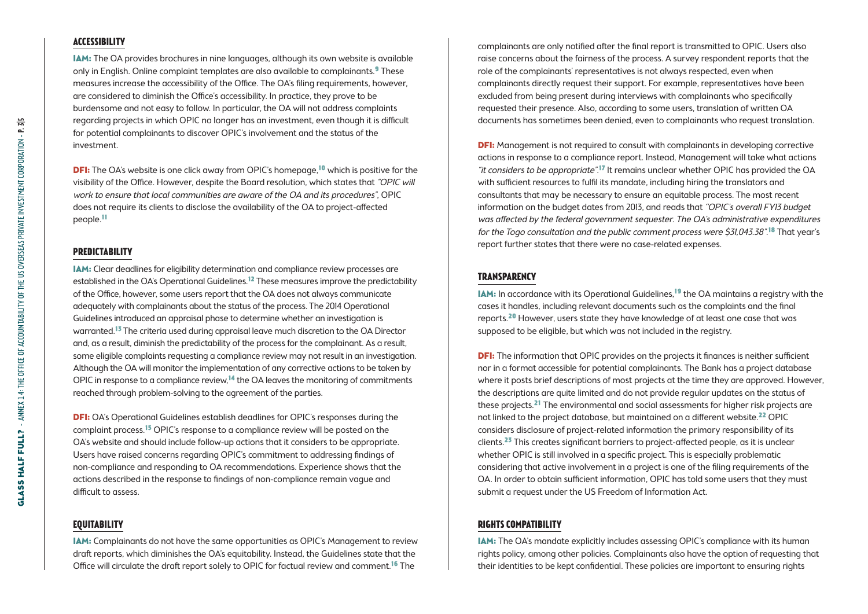### **Accessibility**

IAM: The OA provides brochures in nine languages, although its own website is available only in English. Online complaint templates are also available to complainants.9 These measures increase the accessibility of the Office. The OA's filing requirements, however, are considered to diminish the Office's accessibility. In practice, they prove to be burdensome and not easy to follow. In particular, the OA will not address complaints regarding projects in which OPIC no longer has an investment, even though it is difficult for potential complainants to discover OPIC's involvement and the status of the investment.

**DFI:** The OA's website is one click away from OPIC's homepage,<sup>10</sup> which is positive for the visibility of the Office. However, despite the Board resolution, which states that "OPIC will work to ensure that local communities are aware of the OA and its procedures", OPIC does not require its clients to disclose the availability of the OA to project-affected people.11

# **Predictability**

IAM: Clear deadlines for eligibility determination and compliance review processes are established in the OA's Operational Guidelines.<sup>12</sup> These measures improve the predictability of the Office, however, some users report that the OA does not always communicate adequately with complainants about the status of the process. The 2014 Operational Guidelines introduced an appraisal phase to determine whether an investigation is warranted.13 The criteria used during appraisal leave much discretion to the OA Director and, as a result, diminish the predictability of the process for the complainant. As a result, some eligible complaints requesting a compliance review may not result in an investigation. Although the OA will monitor the implementation of any corrective actions to be taken by OPIC in response to a compliance review, $14$  the OA leaves the monitoring of commitments reached through problem-solving to the agreement of the parties.

**DFI:** OA's Operational Guidelines establish deadlines for OPIC's responses during the complaint process.15 OPIC's response to a compliance review will be posted on the OA's website and should include follow-up actions that it considers to be appropriate. Users have raised concerns regarding OPIC's commitment to addressing findings of non-compliance and responding to OA recommendations. Experience shows that the actions described in the response to findings of non-compliance remain vague and difficult to assess.

## **Equitability**

IAM: Complainants do not have the same opportunities as OPIC's Management to review draft reports, which diminishes the OA's equitability. Instead, the Guidelines state that the Office will circulate the draft report solely to OPIC for factual review and comment.<sup>16</sup> The

complainants are only notified after the final report is transmitted to OPIC. Users also raise concerns about the fairness of the process. A survey respondent reports that the role of the complainants' representatives is not always respected, even when complainants directly request their support. For example, representatives have been excluded from being present during interviews with complainants who specifically requested their presence. Also, according to some users, translation of written OA documents has sometimes been denied, even to complainants who request translation.

**DFI:** Management is not required to consult with complainants in developing corrective actions in response to a compliance report. Instead, Management will take what actions "it considers to be appropriate".<sup>17</sup> It remains unclear whether OPIC has provided the OA with sufficient resources to fulfil its mandate, including hiring the translators and consultants that may be necessary to ensure an equitable process. The most recent information on the budget dates from 2013, and reads that "OPIC's overall FYI3 budget was affected by the federal government sequester. The OA's administrative expenditures for the Togo consultation and the public comment process were \$31,043.38".<sup>18</sup> That year's report further states that there were no case-related expenses.

## **Transparency**

IAM: In accordance with its Operational Guidelines,19 the OA maintains a registry with the cases it handles, including relevant documents such as the complaints and the final reports.20 However, users state they have knowledge of at least one case that was supposed to be eligible, but which was not included in the registry.

**DFI:** The information that OPIC provides on the projects it finances is neither sufficient nor in a format accessible for potential complainants. The Bank has a project database where it posts brief descriptions of most projects at the time they are approved. However, the descriptions are quite limited and do not provide regular updates on the status of these projects.21 The environmental and social assessments for higher risk projects are not linked to the project database, but maintained on a different website.<sup>22</sup> OPIC considers disclosure of project-related information the primary responsibility of its clients.23 This creates significant barriers to project-affected people, as it is unclear whether OPIC is still involved in a specific project. This is especially problematic considering that active involvement in a project is one of the filing requirements of the OA. In order to obtain sufficient information, OPIC has told some users that they must submit a request under the US Freedom of Information Act.

## **Rights compatibility**

IAM: The OA's mandate explicitly includes assessing OPIC's compliance with its human rights policy, among other policies. Complainants also have the option of requesting that their identities to be kept confidential. These policies are important to ensuring rights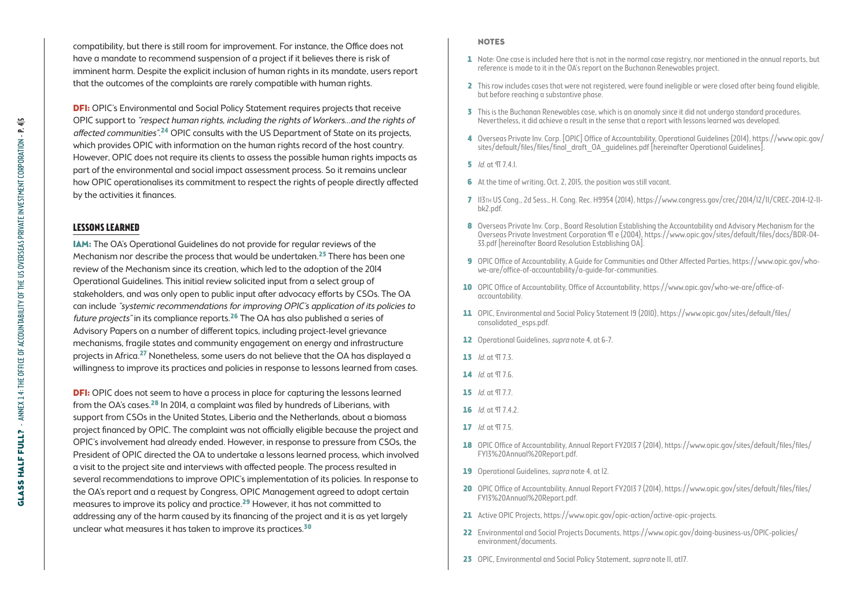compatibility, but there is still room for improvement. For instance, the Office does not have a mandate to recommend suspension of a project if it believes there is risk of imminent harm. Despite the explicit inclusion of human rights in its mandate, users report that the outcomes of the complaints are rarely compatible with human rights.

**DFI:** OPIC's Environmental and Social Policy Statement requires projects that receive OPIC support to "respect human rights, including the rights of Workers…and the rights of affected communities".<sup>24</sup> OPIC consults with the US Department of State on its projects, which provides OPIC with information on the human rights record of the host country. However, OPIC does not require its clients to assess the possible human rights impacts as part of the environmental and social impact assessment process. So it remains unclear how OPIC operationalises its commitment to respect the rights of people directly affected by the activities it finances.

# **Lessons learned**

IAM: The OA's Operational Guidelines do not provide for regular reviews of the Mechanism nor describe the process that would be undertaken.<sup>25</sup> There has been one review of the Mechanism since its creation, which led to the adoption of the 2014 Operational Guidelines. This initial review solicited input from a select group of stakeholders, and was only open to public input after advocacy efforts by CSOs. The OA can include "systemic recommendations for improving OPIC's application of its policies to future projects" in its compliance reports.26 The OA has also published a series of Advisory Papers on a number of different topics, including project-level grievance mechanisms, fragile states and community engagement on energy and infrastructure projects in Africa.27 Nonetheless, some users do not believe that the OA has displayed a willingness to improve its practices and policies in response to lessons learned from cases.

**DFI:** OPIC does not seem to have a process in place for capturing the lessons learned from the OA's cases.28 In 2014, a complaint was filed by hundreds of Liberians, with support from CSOs in the United States, Liberia and the Netherlands, about a biomass project financed by OPIC. The complaint was not officially eligible because the project and OPIC's involvement had already ended. However, in response to pressure from CSOs, the President of OPIC directed the OA to undertake a lessons learned process, which involved a visit to the project site and interviews with affected people. The process resulted in several recommendations to improve OPIC's implementation of its policies. In response to the OA's report and a request by Congress, OPIC Management agreed to adopt certain measures to improve its policy and practice.29 However, it has not committed to addressing any of the harm caused by its financing of the project and it is as yet largely unclear what measures it has taken to improve its practices.<sup>30</sup>

#### **NOTES**

- 1 Note: One case is included here that is not in the normal case registry, nor mentioned in the annual reports, but reference is made to it in the OA's report on the Buchanan Renewables project.
- 2 This row includes cases that were not registered, were found ineligible or were closed after being found eligible, but before reaching a substantive phase.
- 3 This is the Buchanan Renewables case, which is an anomaly since it did not undergo standard procedures. Nevertheless, it did achieve a result in the sense that a report with lessons learned was developed.
- 4 Overseas Private Inv. Corp. [OPIC] Office of Accountability, Operational Guidelines (2014), [https://www.opic.gov/](https://www.opic.gov/sites/default/files/files/final_draft_OA_guidelines.pdf) [sites/default/files/files/final\\_draft\\_OA\\_guidelines.pdf](https://www.opic.gov/sites/default/files/files/final_draft_OA_guidelines.pdf) [hereinafter Operational Guidelines].
- **5** *Id.* at *T* 7.4.1.
- 6 At the time of writing, Oct. 2, 2015, the position was still vacant.
- 7 113th US Cong., 2d Sess., H. Cong. Rec. H9954 (2014), https://www.congress.gov/crec/2014/12/11/CREC-2014-12-11 bk2.pdf.
- 8 Overseas Private Inv. Corp., Board Resolution Establishing the Accountability and Advisory Mechanism for the Overseas Private Investment Corporation ¶ e (2004), [https://www.opic.gov/sites/default/files/docs/BDR-04-](https://www.opic.gov/sites/default/files/docs/BDR-04-33.pdf) [33.pdf](https://www.opic.gov/sites/default/files/docs/BDR-04-33.pdf) [hereinafter Board Resolution Establishing OA].
- 9 OPIC Office of Accountability, A Guide for Communities and Other Affected Parties, [https://www.opic.gov/who](https://www.opic.gov/who-we-are/office-of-accountability/a-guide-for-communities)[we-are/office-of-accountability/a-guide-for-communities.](https://www.opic.gov/who-we-are/office-of-accountability/a-guide-for-communities)
- 10 OPIC Office of Accountability, Office of Accountability, [https://www.opic.gov/who-we-are/office-of](https://www.opic.gov/who-we-are/office-of-accountability)[accountability](https://www.opic.gov/who-we-are/office-of-accountability).
- 11 OPIC, Environmental and Social Policy Statement 19 (2010), [https://www.opic.gov/sites/default/files/](https://www.opic.gov/sites/default/files/consolidated_esps.pdf) [consolidated\\_esps.pdf](https://www.opic.gov/sites/default/files/consolidated_esps.pdf).
- 12 Operational Guidelines, *supra* note 4, at 6-7.
- 13  $Id$  nt  $\Pi$  7.3
- $14$  *Id.*  $nt$   $T56$
- 15  $Id.$  at  $\P$  7.7.
- 16  $Id$  at  $\P$  7.4.2.
- 17 *Id.* at TT 7.5.
- 18 OPIC Office of Accountability, Annual Report FY2013 7 (2014), [https://www.opic.gov/sites/default/files/files/](https://www.opic.gov/sites/default/files/files/FY13 Annual Report.pdf) [FY13%20Annual%20Report.pdf.](https://www.opic.gov/sites/default/files/files/FY13 Annual Report.pdf)
- 19 Operational Guidelines, supra note 4, at 12.
- 20 OPIC Office of Accountability, Annual Report FY2013 7 (2014), [https://www.opic.gov/sites/default/files/files/](https://www.opic.gov/sites/default/files/files/FY13 Annual Report.pdf) [FY13%20Annual%20Report.pdf.](https://www.opic.gov/sites/default/files/files/FY13 Annual Report.pdf)
- 21 Active OPIC Projects, [https://www.opic.gov/opic-action/active-opic-projects.](https://www.opic.gov/opic-action/active-opic-projects)
- 22 Environmental and Social Projects Documents, [https://www.opic.gov/doing-business-us/OPIC-policies/](https://www.opic.gov/doing-business-us/OPIC-policies/environment/documents) [environment/documents.](https://www.opic.gov/doing-business-us/OPIC-policies/environment/documents)
- 23 OPIC, Environmental and Social Policy Statement, *supra* note 11, at17.